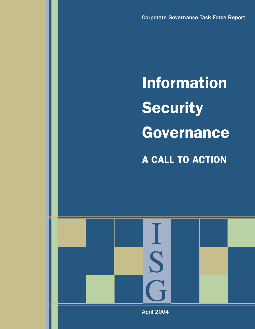Information **Security** Governance A CALL TO ACTION

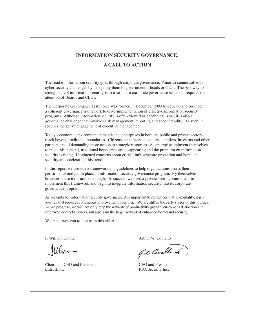## **INFORMATION SECURITY GOVERNANCE:**

#### **A CALL TO ACTION**

The road to information security goes through corporate governance. America cannot solve its cyber security challenges by delegating them to government officials or CIOs. The best way to strengthen US information security is to treat it as a corporate governance issue that requires the attention of Boards and CEOs.

The Corporate Governance Task Force was formed in December 2003 to develop and promote a coherent governance framework to drive implementation of effective information security programs. Although information security is often viewed as a technical issue, it is also a governance challenge that involves risk management, reporting and accountability. As such, it requires the active engagement of executive management.

Today's economic environment demands that enterprises in both the public and private sectors reach beyond traditional boundaries. Citizens, customers, educators, suppliers, investors and other partners are all demanding more access to strategic resources. As enterprises reinvent themselves to meet this demand, traditional boundaries are disappearing and the premium on information security is rising. Heightened concerns about critical infrastructure protection and homeland security are accelerating this trend.

In this report we provide a framework and guidelines to help organizations assess their performance and put in place an information security governance program. By themselves, however, these tools are not enough. To succeed we need a private sector commitment to implement this framework and begin to integrate information security into its corporate governance program.

As we embrace information security governance, it is important to remember that, like quality, it is a journey that requires continuous improvement over time. We are still in the early stages of this journey. As we progress, we will not only reap the rewards of productivity growth, customer satisfaction and improved competitiveness, but also gain the larger reward of enhanced homeland security.

We encourage you to join us in this effort.

Chairman, CEO and President CEO and President CEO and President CEO and President CEO and President CEO and President CEO and President CEO and President CEO and President CEO and President CEO and President CEO and Presid

F. William Conner Arthur W. Coviello

Git Coille of.)

RSA Security Inc.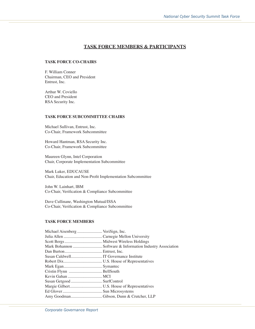#### **TASK FORCE MEMBERS & PARTICIPANTS**

#### **TASK FORCE CO-CHAIRS**

F. William Conner Chairman, CEO and President Entrust, Inc.

Arthur W. Coviello CEO and President RSA Security Inc.

#### **TASK FORCE SUBCOMMITTEE CHAIRS**

Michael Sullivan, Entrust, Inc. Co-Chair, Framework Subcommittee

Howard Hantman, RSA Security Inc. Co-Chair, Framework Subcommittee

Maureen Glynn, Intel Corporation Chair, Corporate Implementation Subcommittee

Mark Luker, EDUCAUSE Chair, Education and Non-Profit Implementation Subcommittee

John W. Lainhart, IBM Co-Chair, Verification & Compliance Subcommittee

Dave Cullinane, Washington Mutual/ISSA Co-Chair, Verification & Compliance Subcommittee

#### **TASK FORCE MEMBERS**

| Michael Aisenberg  VeriSign, Inc.       |  |
|-----------------------------------------|--|
|                                         |  |
|                                         |  |
|                                         |  |
|                                         |  |
|                                         |  |
|                                         |  |
|                                         |  |
|                                         |  |
|                                         |  |
| Susan Getgood  SurfControl              |  |
|                                         |  |
|                                         |  |
| Amy GoodmanGibson, Dunn & Crutcher, LLP |  |
|                                         |  |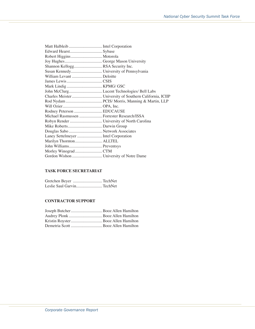| Matt Halbleib  Intel Corporation                          |
|-----------------------------------------------------------|
| Edward Hearst Sybase                                      |
| Robert Higgins  Motorola                                  |
|                                                           |
| Shannon KelloggRSA Security Inc.                          |
|                                                           |
|                                                           |
|                                                           |
|                                                           |
|                                                           |
| Charles Meister  University of Southern California, ICIIP |
|                                                           |
|                                                           |
| Rodney Peterson  EDUCAUSE                                 |
| Michael Rasmussen  Forrester Research/ISSA                |
|                                                           |
|                                                           |
| Douglas Sabo  Network Associates                          |
| Laney Settelmeyer  Intel Corporation                      |
|                                                           |
|                                                           |
|                                                           |
|                                                           |
|                                                           |

#### **TASK FORCE SECRETARIAT**

| Gretchen Beyer TechNet    |  |
|---------------------------|--|
| Leslie Saul GarvinTechNet |  |

#### **CONTRACTOR SUPPORT**

| Demetria Scott  Booz Allen Hamilton |  |
|-------------------------------------|--|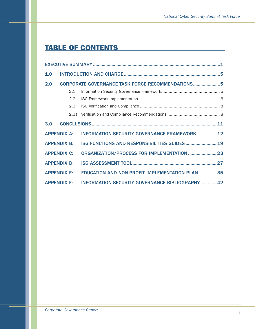# TABLE OF CONTENTS

| 1.0                |               |                                                        |  |
|--------------------|---------------|--------------------------------------------------------|--|
| 2.0                |               | CORPORATE GOVERNANCE TASK FORCE RECOMMENDATIONS5       |  |
|                    | 2.1           |                                                        |  |
|                    | $2.2^{\circ}$ |                                                        |  |
|                    | 2.3           |                                                        |  |
|                    |               |                                                        |  |
| 3.0                |               |                                                        |  |
| <b>APPENDIX A:</b> |               | <b>INFORMATION SECURITY GOVERNANCE FRAMEWORK 12</b>    |  |
| <b>APPENDIX B:</b> |               | ISG FUNCTIONS AND RESPONSIBILITIES GUIDES  19          |  |
| <b>APPENDIX C:</b> |               | ORGANIZATION/PROCESS FOR IMPLEMENTATION  23            |  |
| <b>APPENDIX D:</b> |               |                                                        |  |
| <b>APPENDIX E:</b> |               | EDUCATION AND NON-PROFIT IMPLEMENTATION PLAN 35        |  |
| <b>APPENDIX F:</b> |               | <b>INFORMATION SECURITY GOVERNANCE BIBLIOGRAPHY 42</b> |  |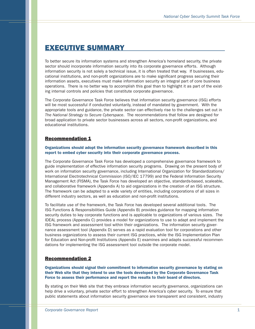## EXECUTIVE SUMMARY

To better secure its information systems and strengthen America's homeland security, the private sector should incorporate information security into its corporate governance efforts. Although information security is not solely a technical issue, it is often treated that way. If businesses, educational institutions, and non-profit organizations are to make significant progress securing their information assets, executives must make information security an integral part of core business operations. There is no better way to accomplish this goal than to highlight it as part of the existing internal controls and policies that constitute corporate governance.

The Corporate Governance Task Force believes that information security governance (ISG) efforts will be most successful if conducted voluntarily, instead of mandated by government. With the appropriate tools and guidance, the private sector can effectively rise to the challenges set out in *The National Strategy to Secure Cyberspace*. The recommendations that follow are designed for broad application to private sector businesses across all sectors, non-profit organizations, and educational institutions.

### Recommendation 1

#### Organizations should adopt the information security governance framework described in this report to embed cyber security into their corporate governance process.

The Corporate Governance Task Force has developed a comprehensive governance framework to guide implementation of effective information security programs. Drawing on the present body of work on information security governance, including International Organization for Standardizations/ International Electrotechnical Commission (ISO/IEC 17799) and the Federal Information Security Management Act (FISMA), the Task Force has developed an objective, standards-based, scaleable, and collaborative framework (Appendix A) to aid organizations in the creation of an ISG structure. The framework can be adapted to a wide variety of entities, including corporations of all sizes in different industry sectors, as well as education and non-profit institutions.

To facilitate use of the framework, the Task Force has developed several additional tools. The ISG Functions & Responsibilities Guide (Appendix B) provides guidance for mapping information security duties to key corporate functions and is applicable to organizations of various sizes. The IDEAL process (Appendix C) provides a model for organizations to use to adapt and implement the ISG framework and assessment tool within their organizations. The information security governance assessment tool (Appendix D) serves as a rapid evaluation tool for corporations and other business organizations to assess their current ISG practices, while the ISG Implementation Plan for Education and Non-profit Institutions (Appendix E) examines and adapts successful recommendations for implementing the ISG assessment tool outside the corporate model.

#### Recommendation 2

Organizations should signal their commitment to information security governance by stating on their Web site that they intend to use the tools developed by the Corporate Governance Task Force to assess their performance and report the results to their board of directors.

By stating on their Web site that they embrace information security governance, organizations can help drive a voluntary, private sector effort to strengthen America's cyber security. To ensure that public statements about information security governance are transparent and consistent, industry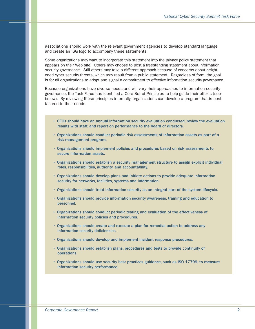associations should work with the relevant government agencies to develop standard language and create an ISG logo to accompany these statements.

Some organizations may want to incorporate this statement into the privacy policy statement that appears on their Web site. Others may choose to post a freestanding statement about information security governance. Still others may take a different approach because of concerns about heightened cyber security threats, which may result from a public statement. Regardless of form, the goal is for all organizations to adopt and signal a commitment to effective information security governance.

Because organizations have diverse needs and will vary their approaches to information security governance, the Task Force has identified a Core Set of Principles to help guide their efforts (see below). By reviewing these principles internally, organizations can develop a program that is best tailored to their needs.

- CEOs should have an annual information security evaluation conducted, review the evaluation results with staff, and report on performance to the board of directors.
- Organizations should conduct periodic risk assessments of information assets as part of a risk management program.
- Organizations should implement policies and procedures based on risk assessments to secure information assets.
- Organizations should establish a security management structure to assign explicit individual roles, responsibilities, authority, and accountability.
- Organizations should develop plans and initiate actions to provide adequate information security for networks, facilities, systems and information.
- Organizations should treat information security as an integral part of the system lifecycle.
- Organizations should provide information security awareness, training and education to personnel.
- Organizations should conduct periodic testing and evaluation of the effectiveness of information security policies and procedures.
- Organizations should create and execute a plan for remedial action to address any information security deficiencies.
- Organizations should develop and implement incident response procedures.
- Organizations should establish plans, procedures and tests to provide continuity of operations.
- Organizations should use security best practices guidance, such as ISO 17799, to measure information security performance.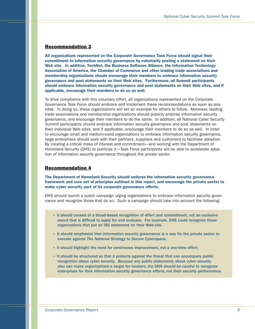#### Recommendation 3

All organizations represented on the Corporate Governance Task Force should signal their commitment to information security governance by voluntarily posting a statement on their Web site. In addition, TechNet, the Business Software Alliance, the Information Technology Association of America, the Chamber of Commerce and other leading trade associations and membership organizations should encourage their members to embrace information security governance and post statements on their Web sites. Furthermore, all Summit participants should embrace information security governance and post statements on their Web sites, and if applicable, encourage their members to do so as well.

To drive compliance with this voluntary effort, all organizations represented on the Corporate Governance Task Force should embrace and implement these recommendations as soon as possible. In doing so, these organizations will set an example for others to follow. Moreover, leading trade associations and membership organizations should publicly endorse information security governance, and encourage their members to do the same. In addition, all National Cyber Security Summit participants should embrace information security governance and post statements on their individual Web sites, and if applicable, encourage their members to do so as well. In order to encourage small and medium-sized organizations to embrace information security governance, large enterprises should work with their partners, suppliers and customers to facilitate adoption. By creating a critical mass of interest and commitment—and working with the Department of Homeland Security (DHS) to publicize it—Task Force participants will be able to accelerate adoption of information security governance throughout the private sector.

### Recommendation 4

The Department of Homeland Security should endorse the information security governance framework and core set of principles outlined in this report, and encourage the private sector to make cyber security part of its corporate governance efforts.

DHS should launch a public campaign urging organizations to embrace information security governance and recognize those that do so. Such a campaign should take into account the following:

- It should consist of a broad-based recognition of effort and commitment, not an exclusive award that is difficult to apply for and evaluate. For example, DHS could recognize those organizations that put an ISG statement on their Web site.
- It should emphasize that information security governance is a way for the private sector to execute against *The National Strategy to Secure Cyberspace*.
- It should highlight the need for continuous improvement, not a one-time effort.
- It should be structured so that it protects against the threat that can accompany public recognition about cyber security. Because any public statements about cyber security also can make organizations a target for hackers, the DHS should be careful to recognize enterprises for their information security *governance* efforts, not their security performance.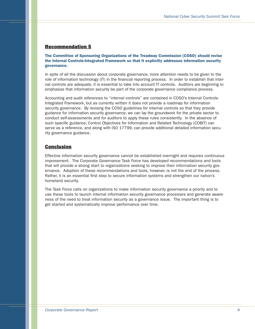### Recommendation 5

#### The Committee of Sponsoring Organizations of the Treadway Commission (COSO) should revise the Internal Controls-Integrated Framework so that it explicitly addresses information security governance.

In spite of all the discussion about corporate governance, more attention needs to be given to the role of information technology (IT) in the financial reporting process. In order to establish that internal controls are adequate, it is essential to take into account IT controls. Auditors are beginning to emphasize that information security be part of the corporate governance compliance process.

Accounting and audit references to "internal controls" are contained in COSO's Internal Controls-Integrated Framework, but as currently written it does not provide a roadmap for information security governance. By revising the COSO guidelines for internal controls so that they provide guidance for information security governance, we can lay the groundwork for the private sector to conduct self-assessments and for auditors to apply these rules consistently. In the absence of such specific guidance, Control Objectives for Information and Related Technology (COBIT) can serve as a reference, and along with ISO 17799, can provide additional detailed information security governance guidance.

### Conclusion

Effective information security governance cannot be established overnight and requires continuous improvement. The Corporate Governance Task Force has developed recommendations and tools that will provide a strong start to organizations seeking to improve their information security governance. Adoption of these recommendations and tools, however, is not the end of the process. Rather, it is an essential first step to secure information systems and strengthen our nation's homeland security.

The Task Force calls on organizations to make information security governance a priority and to use these tools to launch internal information security governance processes and generate awareness of the need to treat information security as a governance issue. The important thing is to get started and systematically improve performance over time.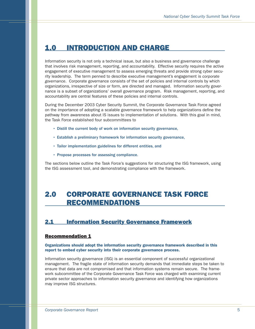# 1.0 INTRODUCTION AND CHARGE

Information security is not only a technical issue, but also a business and governance challenge that involves risk management, reporting, and accountability. Effective security requires the active engagement of executive management to assess emerging threats and provide strong cyber security leadership. The term penned to describe executive management's engagement is *corporate governance*. Corporate governance consists of the set of policies and internal controls by which organizations, irrespective of size or form, are directed and managed. Information security governance is a subset of organizations' overall governance program. Risk management, reporting, and accountability are central features of these policies and internal controls.

During the December 2003 Cyber Security Summit, the Corporate Governance Task Force agreed on the importance of adopting a scalable governance framework to help organizations define the pathway from awareness about IS issues to implementation of solutions. With this goal in mind, the Task Force established four subcommittees to

- Distill the current body of work on information security governance,
- Establish a preliminary framework for information security governance,
- Tailor implementation guidelines for different entities, and
- Propose processes for assessing compliance.

The sections below outline the Task Force's suggestions for structuring the ISG framework, using the ISG assessment tool, and demonstrating compliance with the framework.

# 2.0 CORPORATE GOVERNANCE TASK FORCE RECOMMENDATIONS

## 2.1 Information Security Governance Framework

#### Recommendation 1

Organizations should adopt the information security governance framework described in this report to embed cyber security into their corporate governance process.

Information security governance (ISG) is an essential component of successful organizational management. The fragile state of information security demands that immediate steps be taken to ensure that data are not compromised and that information systems remain secure. The framework subcommittee of the Corporate Governance Task Force was charged with examining current private sector approaches to information security governance and identifying how organizations may improve ISG structures.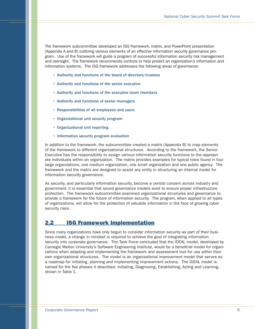The framework subcommittee developed an ISG framework, matrix, and PowerPoint presentation (Appendix A and B) outlining various elements of an effective information security governance program. Use of the framework will guide a program of successful information security risk management and oversight. The framework recommends controls to help protect an organization's information and information systems. The ISG framework addresses the following areas of governance:

- Authority and functions of the board of directors/trustees
- Authority and functions of the senior executive
- Authority and functions of the executive team members
- Authority and functions of senior managers
- Responsibilities of all employees and users
- Organizational unit security program
- Organizational unit reporting
- Information security program evaluation

In addition to the framework, the subcommittee created a matrix (Appendix B) to map elements of the framework to different organizational structures. According to the framework, the Senior Executive has the responsibility to assign various information security functions to the appropriate individuals within an organization. The matrix provides examples for typical roles found in four large organizations, one medium organization, one small organization and one public agency. The framework and the matrix are designed to assist any entity in structuring an internal model for information security governance.

As security, and particularly information security, become a central concern across industry and government, it is essential that sound governance models exist to ensure proper infrastructure protection. The framework subcommittee examined organizational structures and governance to provide a framework for the future of information security. The program, when applied to all types of organizations, will allow for the protection of valuable information in the face of growing cyber security risks.

## 2.2 ISG Framework Implementation

Since many organizations have only begun to consider information security as part of their business model, a change in mindset is required to achieve the goal of integrating information security into corporate governance. The Task Force concluded that the IDEAL model, developed by Carnegie Mellon University's Software Engineering Institute, would be a beneficial model for organizations when adapting and implementing the framework and assessment tool for use within their own organizational structures. The model is an organizational improvement model that serves as a roadmap for initiating, planning and implementing improvement actions. The IDEAL model is named for the five phases it describes: Initiating, Diagnosing, Establishing, Acting and Learning, shown in Table 1.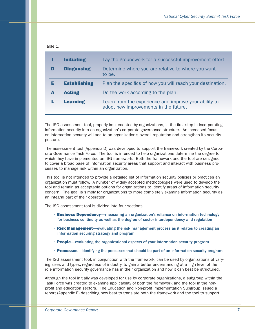#### Table 1.

|   | <b>Initiating</b>   | Lay the groundwork for a successful improvement effort.                                        |
|---|---------------------|------------------------------------------------------------------------------------------------|
| D | <b>Diagnosing</b>   | Determine where you are relative to where you want<br>to be.                                   |
| Е | <b>Establishing</b> | Plan the specifics of how you will reach your destination.                                     |
| A | <b>Acting</b>       | Do the work according to the plan.                                                             |
|   | <b>Learning</b>     | Learn from the experience and improve your ability to<br>adopt new improvements in the future. |

The ISG assessment tool, properly implemented by organizations, is the first step in incorporating information security into an organization's corporate governance structure. An increased focus on information security will add to an organization's overall reputation and strengthen its security posture.

The assessment tool (Appendix D) was developed to support the framework created by the Corporate Governance Task Force. The tool is intended to help organizations determine the degree to which they have implemented an ISG framework. Both the framework and the tool are designed to cover a broad base of information security areas that support and interact with business processes to manage risk within an organization.

This tool is not intended to provide a detailed list of information security policies or practices an organization must follow. A number of widely accepted methodologies were used to develop the tool and remain as acceptable options for organizations to identify areas of information security concern. The goal is simply for organizations to more completely examine information security as an integral part of their operation.

The ISG assessment tool is divided into four sections:

- Business Dependency—measuring an organization's reliance on information technology for business continuity as well as the degree of sector interdependency and regulation
- Risk Management—evaluating the risk management process as it relates to creating an information securing strategy and program
- People—evaluating the organizational aspects of your information security program
- Processes—identifying the processes that should be part of an information security program.

The ISG assessment tool, in conjunction with the framework, can be used by organizations of varying sizes and types, regardless of industry, to gain a better understanding at a high level of the role information security governance has in their organization and how it can best be structured.

Although the tool initially was developed for use by corporate organizations, a subgroup within the Task Force was created to examine applicability of both the framework and the tool in the nonprofit and education sectors. The Education and Non-profit Implementation Subgroup issued a report (Appendix E) describing how best to translate both the framework and the tool to support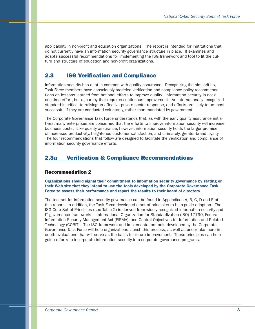applicability in non-profit and education organizations. The report is intended for institutions that do not currently have an information security governance structure in place. It examines and adapts successful recommendations for implementing the ISG framework and tool to fit the culture and structure of education and non-profit organizations.

## 2.3 ISG Verification and Compliance

Information security has a lot in common with quality assurance. Recognizing the similarities, Task Force members have consciously modeled verification and compliance policy recommendations on lessons learned from national efforts to improve quality. Information security is not a one-time effort, but a journey that requires continuous improvement. An internationally recognized standard is critical to rallying an effective private sector response, and efforts are likely to be most successful if they are conducted voluntarily, rather than mandated by government.

The Corporate Governance Task Force understands that, as with the early quality assurance initiatives, many enterprises are concerned that the efforts to improve information security will increase business costs. Like quality assurance, however, information security holds the larger promise of increased productivity, heightened customer satisfaction, and ultimately, greater brand loyalty. The four recommendations that follow are designed to facilitate the verification and compliance of information security governance efforts.

## 2.3a Verification & Compliance Recommendations

### Recommendation 2

Organizations should signal their commitment to information security governance by stating on their Web site that they intend to use the tools developed by the Corporate Governance Task Force to assess their performance and report the results to their board of directors.

The tool set for information security governance can be found in Appendices A, B, C, D and E of this report. In addition, the Task Force developed a set of principles to help guide adoption. The ISG Core Set of Principles (see Table 2) is derived from widely recognized information security and IT governance frameworks—International Organization for Standardization (ISO) 17799, Federal Information Security Management Act (FISMA), and Control Objectives for Information and Related Technology (COBIT). The ISG framework and implementation tools developed by the Corporate Governance Task Force will help organizations launch this process, as well as undertake more indepth evaluations that will serve as the basis for future improvement. These principles can help guide efforts to incorporate information security into corporate governance programs.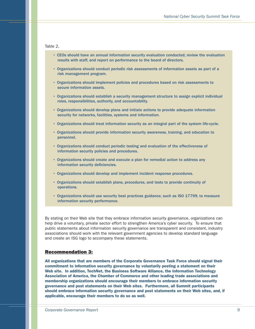#### Table 2.

- CEOs should have an annual information security evaluation conducted, review the evaluation results with staff, and report on performance to the board of directors.
- Organizations should conduct periodic risk assessments of information assets as part of a risk management program.
- Organizations should implement policies and procedures based on risk assessments to secure information assets.
- Organizations should establish a security management structure to assign explicit individual roles, responsibilities, authority, and accountability.
- Organizations should develop plans and initiate actions to provide adequate information security for networks, facilities, systems and information.
- Organizations should treat information security as an integral part of the system life-cycle.
- Organizations should provide information security awareness, training, and education to personnel.
- Organizations should conduct periodic testing and evaluation of the effectiveness of information security policies and procedures.
- Organizations should create and execute a plan for remedial action to address any information security deficiencies.
- Organizations should develop and implement incident response procedures.
- Organizations should establish plans, procedures, and tests to provide continuity of operations.
- Organizations should use security best practices guidance, such as ISO 17799, to measure information security performance.

By stating on their Web site that they embrace information security governance, organizations can help drive a voluntary, private sector effort to strengthen America's cyber security. To ensure that public statements about information security governance are transparent and consistent, industry associations should work with the relevant government agencies to develop standard language and create an ISG logo to accompany these statements.

#### Recommendation 3:

All organizations that are members of the Corporate Governance Task Force should signal their commitment to information security governance by voluntarily posting a statement on their Web site. In addition, TechNet, the Business Software Alliance, the Information Technology Association of America, the Chamber of Commerce and other leading trade associations and membership organizations should encourage their members to embrace information security governance and post statements on their Web sites. Furthermore, all Summit participants should embrace information security governance and post statements on their Web sites, and, if applicable, encourage their members to do so as well.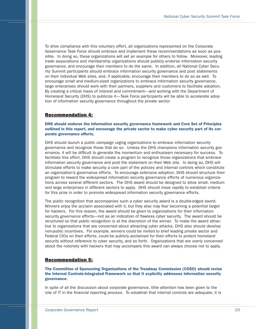To drive compliance with this voluntary effort, all organizations represented on the Corporate Governance Task Force should embrace and implement these recommendations as soon as possible. In doing so, these organizations will set an example for others to follow. Moreover, leading trade associations and membership organizations should publicly endorse information security governance, and encourage their members to do the same. In addition, all National Cyber Security Summit participants should embrace information security governance and post statements on their individual Web sites, and, if applicable, encourage their members to do so as well. To encourage small and medium-sized organizations to embrace information security governance, large enterprises should work with their partners, suppliers and customers to facilitate adoption. By creating a critical mass of interest and commitment—and working with the Department of Homeland Security (DHS) to publicize it—Task Force participants will be able to accelerate adoption of information security governance throughout the private sector.

#### Recommendation 4:

#### DHS should endorse the information security governance framework and Core Set of Principles outlined in this report, and encourage the private sector to make cyber security part of its corporate governance efforts.

DHS should launch a public campaign urging organizations to embrace information security governance and recognize those that do so. Unless the DHS champions information security governance, it will be difficult to generate the momentum and enthusiasm necessary for success. To facilitate this effort, DHS should create a program to recognize those organizations that embrace information security governance and post the statement on their Web site. In doing so, DHS will stimulate efforts to make security a core part of the policies and internal controls which constitute an organization's governance efforts. To encourage extensive adoption, DHS should structure their program to reward the widespread information security governance efforts of numerous organizations across several different sectors. The DHS award should be designed to allow small, medium and large enterprises in different sectors to apply. DHS should move rapidly to establish criteria for this prize in order to promote widespread information security governance efforts.

The public recognition that accompanies such a cyber security award is a double-edged sword. Winners enjoy the acclaim associated with it, but they also may fear becoming a potential target for hackers. For this reason, the award should be given to organizations for their information security *governance* efforts—not as an indication of flawless cyber security. The award should be structured so that public recognition is at the discretion of the winner. To make the award attractive to organizations that are concerned about attracting cyber attacks, DHS also should develop non-public incentives. For example, winners could be invited to brief leading private sector and Federal CIOs on their efforts, could be publicly acclaimed for their efforts to protect homeland security without reference to cyber security, and so forth. Organizations that are overly concerned about the notoriety with hackers that may accompany this award can always choose not to apply.

#### Recommendation 5:

#### The Committee of Sponsoring Organizations of the Treadway Commission (COSO) should revise the Internal Controls-Integrated Framework so that it explicitly addresses information security governance.

In spite of all the discussion about corporate governance, little attention has been given to the role of IT in the financial reporting process. To establish that internal controls are adequate, it is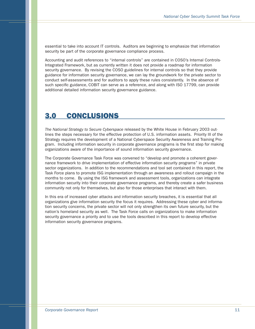essential to take into account IT controls. Auditors are beginning to emphasize that information security be part of the corporate governance compliance process.

Accounting and audit references to "internal controls" are contained in COSO's Internal Controls-Integrated Framework, but as currently written it does not provide a roadmap for information security governance. By revising the COSO guidelines for internal controls so that they provide guidance for information security governance, we can lay the groundwork for the private sector to conduct self-assessments and for auditors to apply these rules consistently. In the absence of such specific guidance, COBIT can serve as a reference, and along with ISO 17799, can provide additional detailed information security governance guidance.

# 3.0 CONCLUSIONS

*The National Strategy to Secure Cyberspace* released by the White House in February 2003 outlines the steps necessary for the effective protection of U.S. information assets. Priority III of the Strategy requires the development of a National Cyberspace Security Awareness and Training Program. Including information security in corporate governance programs is the first step for making organizations aware of the importance of sound information security governance.

The Corporate Governance Task Force was convened to "develop and promote a coherent governance framework to drive implementation of effective information security programs" in private sector organizations. In addition to the recommendations and tool set contained in this report, the Task Force plans to promote ISG implementation through an awareness and rollout campaign in the months to come. By using the ISG framework and assessment tools, organizations can integrate information security into their corporate governance programs, and thereby create a safer business community not only for themselves, but also for those enterprises that interact with them.

In this era of increased cyber attacks and information security breaches, it is essential that all organizations give information security the focus it requires. Addressing these cyber and information security concerns, the private sector will not only strengthen its own future security, but the nation's homeland security as well. The Task Force calls on organizations to make information security governance a priority and to use the tools described in this report to develop effective information security governance programs.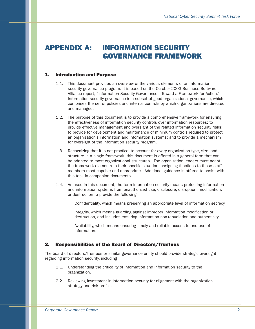# APPENDIX A: INFORMATION SECURITY GOVERNANCE FRAMEWORK

### 1. Introduction and Purpose

- 1.1. This document provides an overview of the various elements of an information security governance program. It is based on the October 2003 Business Software Alliance report, "Information Security Governance—Toward a Framework for Action." Information security governance is a subset of good organizational governance, which comprises the set of policies and internal controls by which organizations are directed and managed.
- 1.2. The purpose of this document is to provide a comprehensive framework for ensuring the effectiveness of information security controls over information resources; to provide effective management and oversight of the related information security risks; to provide for development and maintenance of minimum controls required to protect an organization's information and information systems; and to provide a mechanism for oversight of the information security program.
- 1.3. Recognizing that it is not practical to account for every organization type, size, and structure in a single framework, this document is offered in a general form that can be adapted to most organizational structures. The organization leaders must adapt the framework elements to their specific situation, assigning functions to those staff members most capable and appropriate. Additional guidance is offered to assist with this task in companion documents.
- 1.4. As used in this document, the term information security means protecting information and information systems from unauthorized use, disclosure, disruption, modification, or destruction to provide the following:
	- Confidentiality, which means preserving an appropriate level of information secrecy
	- Integrity, which means guarding against improper information modification or destruction, and includes ensuring information non-repudiation and authenticity
	- Availability, which means ensuring timely and reliable access to and use of information.

### 2. Responsibilities of the Board of Directors/Trustees

The board of directors/trustees or similar governance entity should provide strategic oversight regarding information security, including

- 2.1. Understanding the criticality of information and information security to the organization.
- 2.2. Reviewing investment in information security for alignment with the organization strategy and risk profile.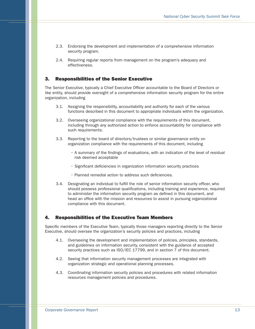- 2.3. Endorsing the development and implementation of a comprehensive information security program.
- 2.4. Requiring regular reports from management on the program's adequacy and effectiveness.

### 3. Responsibilities of the Senior Executive

The Senior Executive, typically a Chief Executive Officer accountable to the Board of Directors or like entity, should provide oversight of a comprehensive information security program for the entire organization, including

- 3.1. Assigning the responsibility, accountability and authority for each of the various functions described in this document to appropriate individuals within the organization.
- 3.2. Overseeing organizational compliance with the requirements of this document, including through any authorized action to enforce accountability for compliance with such requirements.
- 3.3. Reporting to the board of directors/trustees or similar governance entity on organization compliance with the requirements of this document, including
	- A summary of the findings of evaluations, with an indication of the level of residual risk deemed acceptable
	- Significant deficiencies in organization information security practices
	- Planned remedial action to address such deficiencies.
- 3.4. Designating an individual to fulfill the role of senior information security officer, who should possess professional qualifications, including training and experience, required to administer the information security program as defined in this document, and head an office with the mission and resources to assist in pursuing organizational compliance with this document.

#### 4. Responsibilities of the Executive Team Members

Specific members of the Executive Team, typically those managers reporting directly to the Senior Executive, should oversee the organization's security policies and practices, including

- 4.1. Overseeing the development and implementation of policies, principles, standards, and guidelines on information security, consistent with the guidance of accepted security practices such as ISO/IEC 17799, and in section 7 of this document.
- 4.2. Seeing that information security management processes are integrated with organization strategic and operational planning processes.
- 4.3. Coordinating information security policies and procedures with related information resources management policies and procedures.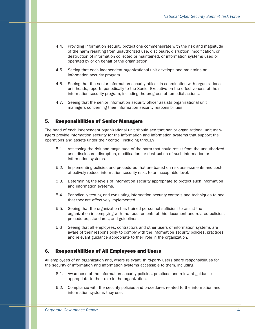- 4.4. Providing information security protections commensurate with the risk and magnitude of the harm resulting from unauthorized use, disclosure, disruption, modification, or destruction of information collected or maintained, or information systems used or operated by or on behalf of the organization.
- 4.5. Seeing that each independent organizational unit develops and maintains an information security program.
- 4.6. Seeing that the senior information security officer, in coordination with organizational unit heads, reports periodically to the Senior Executive on the effectiveness of their information security program, including the progress of remedial actions.
- 4.7. Seeing that the senior information security officer assists organizational unit managers concerning their information security responsibilities.

## 5. Responsibilities of Senior Managers

The head of each independent organizational unit should see that senior organizational unit managers provide information security for the information and information systems that support the operations and assets under their control, including through

- 5.1. Assessing the risk and magnitude of the harm that could result from the unauthorized use, disclosure, disruption, modification, or destruction of such information or information systems.
- 5.2. Implementing policies and procedures that are based on risk assessments and costeffectively reduce information security risks to an acceptable level.
- 5.3. Determining the levels of information security appropriate to protect such information and information systems.
- 5.4. Periodically testing and evaluating information security controls and techniques to see that they are effectively implemented.
- 5.5. Seeing that the organization has trained personnel sufficient to assist the organization in complying with the requirements of this document and related policies, procedures, standards, and guidelines.
- 5.6 Seeing that all employees, contractors and other users of information systems are aware of their responsibility to comply with the information security policies, practices and relevant guidance appropriate to their role in the organization.

### 6. Responsibilities of All Employees and Users

All employees of an organization and, where relevant, third-party users share responsibilities for the security of information and information systems accessible to them, including

- 6.1. Awareness of the information security policies, practices and relevant guidance appropriate to their role in the organization.
- 6.2. Compliance with the security policies and procedures related to the information and information systems they use.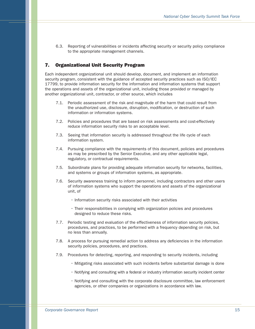6.3. Reporting of vulnerabilities or incidents affecting security or security policy compliance to the appropriate management channels.

### 7. Organizational Unit Security Program

Each independent organizational unit should develop, document, and implement an information security program, consistent with the guidance of accepted security practices such as ISO/IEC 17799, to provide information security for the information and information systems that support the operations and assets of the organizational unit, including those provided or managed by another organizational unit, contractor, or other source, which includes

- 7.1. Periodic assessment of the risk and magnitude of the harm that could result from the unauthorized use, disclosure, disruption, modification, or destruction of such information or information systems.
- 7.2. Policies and procedures that are based on risk assessments and cost-effectively reduce information security risks to an acceptable level.
- 7.3. Seeing that information security is addressed throughout the life cycle of each information system.
- 7.4. Pursuing compliance with the requirements of this document, policies and procedures as may be prescribed by the Senior Executive, and any other applicable legal, regulatory, or contractual requirements.
- 7.5. Subordinate plans for providing adequate information security for networks, facilities, and systems or groups of information systems, as appropriate.
- 7.6. Security awareness training to inform personnel, including contractors and other users of information systems who support the operations and assets of the organizational unit, of
	- Information security risks associated with their activities
	- Their responsibilities in complying with organization policies and procedures designed to reduce these risks.
- 7.7. Periodic testing and evaluation of the effectiveness of information security policies, procedures, and practices, to be performed with a frequency depending on risk, but no less than annually.
- 7.8. A process for pursuing remedial action to address any deficiencies in the information security policies, procedures, and practices.
- 7.9. Procedures for detecting, reporting, and responding to security incidents, including
	- Mitigating risks associated with such incidents before substantial damage is done
	- Notifying and consulting with a federal or industry information security incident center
	- Notifying and consulting with the corporate disclosure committee, law enforcement agencies, or other companies or organizations in accordance with law.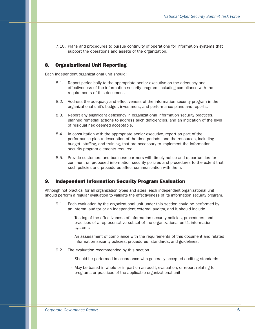7.10. Plans and procedures to pursue continuity of operations for information systems that support the operations and assets of the organization.

#### 8. Organizational Unit Reporting

Each independent organizational unit should:

- 8.1. Report periodically to the appropriate senior executive on the adequacy and effectiveness of the information security program, including compliance with the requirements of this document.
- 8.2. Address the adequacy and effectiveness of the information security program in the organizational unit's budget, investment, and performance plans and reports.
- 8.3. Report any significant deficiency in organizational information security practices, planned remedial actions to address such deficiencies, and an indication of the level of residual risk deemed acceptable.
- 8.4. In consultation with the appropriate senior executive, report as part of the performance plan a description of the time periods, and the resources, including budget, staffing, and training, that are necessary to implement the information security program elements required.
- 8.5. Provide customers and business partners with timely notice and opportunities for comment on proposed information security policies and procedures to the extent that such policies and procedures affect communication with them.

#### 9. Independent Information Security Program Evaluation

Although not practical for all organization types and sizes, each independent organizational unit should perform a regular evaluation to validate the effectiveness of its information security program.

- 9.1. Each evaluation by the organizational unit under this section could be performed by an internal auditor or an independent external auditor, and it should include
	- Testing of the effectiveness of information security policies, procedures, and practices of a representative subset of the organizational unit's information systems
	- An assessment of compliance with the requirements of this document and related information security policies, procedures, standards, and guidelines.
- 9.2. The evaluation recommended by this section
	- Should be performed in accordance with generally accepted auditing standards
	- May be based in whole or in part on an audit, evaluation, or report relating to programs or practices of the applicable organizational unit.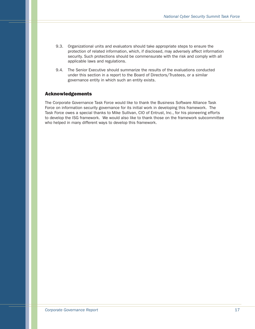- 9.3. Organizational units and evaluators should take appropriate steps to ensure the protection of related information, which, if disclosed, may adversely affect information security. Such protections should be commensurate with the risk and comply with all applicable laws and regulations.
- 9.4. The Senior Executive should summarize the results of the evaluations conducted under this section in a report to the Board of Directors/Trustees, or a similar governance entity in which such an entity exists.

## Acknowledgements

The Corporate Governance Task Force would like to thank the Business Software Alliance Task Force on information security governance for its initial work in developing this framework. The Task Force owes a special thanks to Mike Sullivan, CIO of Entrust, Inc., for his pioneering efforts to develop the ISG framework. We would also like to thank those on the framework subcommittee who helped in many different ways to develop this framework.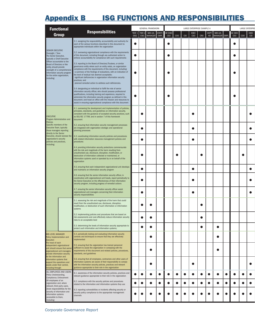# Appendix B ISG FUNCTIONS AND RESPONSIBILITIES

| <b>Functional</b>                                                                                                                                                                                                               | <b>Responsibilities</b>                                                                                                                                                                                                                                                                                                                                                                                                                                                                                                     |             |                     | <b>GENERAL FRAMEWORK</b> |           |           |           |           |           | LARGE ENTERPRISE EXAMPLE A |                                                                                                                                                                                                                                                                                                                                                                                   |             |                |           | <b>LARGE ENTERPRIS</b> |
|---------------------------------------------------------------------------------------------------------------------------------------------------------------------------------------------------------------------------------|-----------------------------------------------------------------------------------------------------------------------------------------------------------------------------------------------------------------------------------------------------------------------------------------------------------------------------------------------------------------------------------------------------------------------------------------------------------------------------------------------------------------------------|-------------|---------------------|--------------------------|-----------|-----------|-----------|-----------|-----------|----------------------------|-----------------------------------------------------------------------------------------------------------------------------------------------------------------------------------------------------------------------------------------------------------------------------------------------------------------------------------------------------------------------------------|-------------|----------------|-----------|------------------------|
| <b>Group</b>                                                                                                                                                                                                                    |                                                                                                                                                                                                                                                                                                                                                                                                                                                                                                                             |             |                     |                          |           |           |           |           |           |                            | $\begin{array}{ l l l }\hline\text{iter 1}\text{iter 2}\text{MD-LVL} & \text{starty}\text{sr} & \text{src}\text{exc}\text{cov} & \text{circ} & \text{exc} & \text{def}\text{MD-LVL} \\ \hline \text{exc} & \text{exc} & \text{manager} & \text{emPL} & \text{ceo} & \text{coo} & \text{coo} & \text{coo} & \text{cso} & \text{cro} & \text{hd} & \text{hd} \\ \hline \end{array}$ | <b>EMPL</b> | SE EXEC<br>CEO |           | $\cos$ $\cos$          |
| SENIOR EXECUTIVE                                                                                                                                                                                                                | 3.1. assigning the responsibility, accountability and authority for<br>each of the various functions described in this document to<br>appropriate individuals within the organization                                                                                                                                                                                                                                                                                                                                       | $\bullet$   |                     |                          |           | $\bullet$ |           |           |           |                            |                                                                                                                                                                                                                                                                                                                                                                                   |             | $\bullet$      |           |                        |
| Oversight / Tone<br>The Senior Executive,                                                                                                                                                                                       | 3.2. overseeing organizational compliance with the requirements<br>of this document, including through any authorized action to<br>enforce accountability for compliance with such requirements                                                                                                                                                                                                                                                                                                                             | $\bullet$   |                     |                          |           | $\bullet$ |           |           |           |                            |                                                                                                                                                                                                                                                                                                                                                                                   |             | $\bullet$      |           |                        |
| typically a Chief Executive<br>Officer accountable to the<br>Board of Directors or like<br>entity, should provide<br>oversight of a comprehensive<br>information security program<br>for the entire organization,<br>including: | 3.3. reporting to the Board of Directors/Trustees, or similar<br>governance entity where such an entity exists, on organization<br>compliance with the requirements of this document, including:<br>a summary of the findings of evaluations, with an indication of<br>the level of residual risk deemed acceptable;<br>· significant deficiencies in organization information security<br>practices; and<br>planned remedial action to address such deficiencies.                                                          | $\bullet$   |                     |                          |           | $\bullet$ |           |           |           |                            |                                                                                                                                                                                                                                                                                                                                                                                   |             | ●              |           |                        |
|                                                                                                                                                                                                                                 | 3.4. designating an individual to fulfill the role of senior<br>information security officer, who should possess professional<br>qualifications, including training and experience, required to<br>administer the information security program as defined in this<br>document; and head an office with the mission and resources to<br>assist in ensuring organizational compliance with this document                                                                                                                      | $\bullet$   |                     |                          |           | $\bullet$ |           |           |           |                            |                                                                                                                                                                                                                                                                                                                                                                                   |             | $\bullet$      |           |                        |
| <b>EXECUTIVE</b><br>Program Administration and<br>Policies                                                                                                                                                                      | 4.1. overseeing the development and implementation of policies,<br>principles, standards, and guidelines on information security,<br>consistent with the guidance of accepted security practices, such<br>as ISO/IEC 17799, and in section 7 of this framework<br>document                                                                                                                                                                                                                                                  |             | $\bullet$           |                          |           |           |           |           | $\bullet$ |                            |                                                                                                                                                                                                                                                                                                                                                                                   |             |                |           | $\bullet$              |
| Specific members of the<br>Executive Team, typically<br>those managers reporting<br>directly to the Senior                                                                                                                      | 4.2. ensuring that information security management processes<br>are integrated with organization strategic and operational<br>planning processes                                                                                                                                                                                                                                                                                                                                                                            |             | $\bullet$           |                          |           |           |           |           | $\bullet$ |                            |                                                                                                                                                                                                                                                                                                                                                                                   |             |                |           | $\bullet$              |
| Executive, should oversee th<br>organization's security<br>policies and practices,<br>including:                                                                                                                                | 4.3. coordinating information security policies and procedures<br>with related information resources management policies and<br>procedures                                                                                                                                                                                                                                                                                                                                                                                  |             | $\bullet$           |                          |           |           |           |           | $\bullet$ |                            |                                                                                                                                                                                                                                                                                                                                                                                   |             |                |           | $\bullet$              |
|                                                                                                                                                                                                                                 | 4.4. providing information security protections commensurate<br>with the risk and magnitude of the harm resulting from<br>unauthorized use, disclosure, disruption, modification, or<br>destruction of information collected or maintained, or<br>information systems used or operated by or on behalf of the<br>organization                                                                                                                                                                                               |             | $\bullet$           |                          |           |           | $\bullet$ |           |           | $\bullet$                  |                                                                                                                                                                                                                                                                                                                                                                                   |             |                | $\bullet$ |                        |
|                                                                                                                                                                                                                                 | 4.5. ensuring that each independent organizational unit develops<br>and maintains an information security program                                                                                                                                                                                                                                                                                                                                                                                                           |             | $\bullet$           |                          |           |           |           |           | $\bullet$ |                            |                                                                                                                                                                                                                                                                                                                                                                                   |             |                |           | $\bullet$              |
|                                                                                                                                                                                                                                 | 4.6. ensuring that the senior information security officer, in<br>coordination with organizational unit heads, report periodically to<br>the Senior Executive on the effectiveness of their information<br>security program, including progress of remedial actions                                                                                                                                                                                                                                                         |             | $\bullet$           |                          |           |           |           |           | $\bullet$ |                            |                                                                                                                                                                                                                                                                                                                                                                                   |             |                |           | $\bullet$              |
|                                                                                                                                                                                                                                 | 4.7. ensuring the senior information security officer assist<br>organizational unit managers concerning their information<br>security responsibilities                                                                                                                                                                                                                                                                                                                                                                      |             | $\bullet$           |                          |           |           |           |           | $\bullet$ |                            |                                                                                                                                                                                                                                                                                                                                                                                   |             |                |           | $\bullet$              |
|                                                                                                                                                                                                                                 | 5.1. assessing the risk and magnitude of the harm that could<br>result from the unauthorized use, disclosure, disruption,<br>modification, or destruction of such information or information<br>systems                                                                                                                                                                                                                                                                                                                     |             | $\bullet$           | $\bullet$                |           |           |           |           |           | $\bullet$                  |                                                                                                                                                                                                                                                                                                                                                                                   |             |                |           |                        |
|                                                                                                                                                                                                                                 | 5.2. implementing policies and procedures that are based on<br>risk assessments and cost-effectively reduce information security<br>risks to an acceptable level                                                                                                                                                                                                                                                                                                                                                            |             | $\bullet$           | $\bullet$                |           |           |           |           |           | $\bullet$                  |                                                                                                                                                                                                                                                                                                                                                                                   |             |                |           |                        |
|                                                                                                                                                                                                                                 | 5.3. determining the levels of information security appropriate to<br>protect such information and information systems;                                                                                                                                                                                                                                                                                                                                                                                                     |             | $\bullet$           | $\bullet$                |           |           |           |           |           | $\bullet$                  | $\bullet$                                                                                                                                                                                                                                                                                                                                                                         |             |                |           |                        |
| MID-LEVEL MANAGER                                                                                                                                                                                                               | 5.4. periodically testing and evaluating information security<br>controls and techniques to ensure that they are effectively                                                                                                                                                                                                                                                                                                                                                                                                |             |                     | $\bullet$                |           |           |           |           |           |                            | $\bullet$                                                                                                                                                                                                                                                                                                                                                                         |             |                |           |                        |
|                                                                                                                                                                                                                                 | 5.5. ensuring that the organization has trained personnel<br>sufficient to assist the organization in complying with the<br>requirements of this document and related policies, procedures,                                                                                                                                                                                                                                                                                                                                 |             |                     | $\bullet$                |           |           |           |           |           |                            | $\bullet$                                                                                                                                                                                                                                                                                                                                                                         |             |                |           |                        |
|                                                                                                                                                                                                                                 | MID-LEVEL MANAGER<br>5.4. periodically testing and<br>prolicy implementation and<br>Execution<br>Execution<br>implemented<br>implemented<br>implemented<br>the head of each<br>implemented<br>implemented<br>implemented<br>for the information and<br>o<br>5.6. ensuring that all employees, contractors and other users of<br>information systems are aware of their responsibility to comply<br>with the information security policies, practices and relevant<br>guidance appropriate to their role in the organization |             |                     | $\bullet$                |           |           |           |           | $\bullet$ |                            |                                                                                                                                                                                                                                                                                                                                                                                   |             |                |           | $\bullet$              |
| ALL EMPLOYEES AND USERS<br>Policy Understanding,<br>Compliance, Enforcement<br>All employees of an                                                                                                                              | 6.1. awareness of the information security policies, practices and<br>relevant guidance appropriate to their role in the organization                                                                                                                                                                                                                                                                                                                                                                                       | $\bullet$ 1 | $\bullet$           | $\bullet$                | $\bullet$ | $\bullet$ | $\bullet$ | $\bullet$ | $\bullet$ | $\bullet$<br>$\bullet$     | $\bullet$                                                                                                                                                                                                                                                                                                                                                                         | $\bullet$ 1 | $\bullet$      | $\bullet$ | $\bullet$              |
| organization and, where<br>relevant, third party users,<br>share responsibilities for the                                                                                                                                       | 6.2. compliance with the security policies and procedures<br>related to the information and information systems they use                                                                                                                                                                                                                                                                                                                                                                                                    |             | $\bullet$ $\bullet$ | $\bullet$                | $\bullet$ | $\bullet$ | $\bullet$ | $\bullet$ | $\bullet$ | $\bullet$<br>$\bullet$     | $\bullet$                                                                                                                                                                                                                                                                                                                                                                         | $\bullet$   | $\bullet$      | $\bullet$ | $\bullet$              |
| security of information and<br>information systems<br>accessible to them,<br>including:                                                                                                                                         | 6.3. reporting vulnerabilities or incidents affecting security or<br>security policy compliance to the appropriate management<br>channels                                                                                                                                                                                                                                                                                                                                                                                   | $\bullet$   | $\bullet$           | $\bullet$                | $\bullet$ | $\bullet$ | $\bullet$ | $\bullet$ | $\bullet$ | $\bullet$<br>$\bullet$     | $\bullet$                                                                                                                                                                                                                                                                                                                                                                         | $\bullet$ 1 | $\bullet$      | $\bullet$ | $\bullet$              |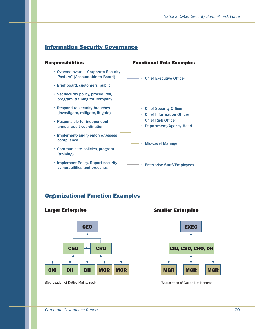## Information Security Governance

| <b>Responsibilities</b>                                                                    | <b>Functional Role Examples</b>                              |
|--------------------------------------------------------------------------------------------|--------------------------------------------------------------|
| <b>Oversee overall "Corporate Security"</b><br>٠<br><b>Posture" (Accountable to Board)</b> | <b>Chief Executive Officer</b>                               |
| • Brief board, customers, public                                                           |                                                              |
| • Set security policy, procedures,<br>program, training for Company                        |                                                              |
| <b>Respond to security breaches</b><br>٠<br>(investigate, mitigate, litigate)              | • Chief Security Officer<br><b>Chief Information Officer</b> |
| <b>Responsible for independent</b><br>۰<br>annual audit coordination                       | • Chief Risk Officer<br>Department/Agency Head               |
| Implement/audit/enforce/assess<br>compliance                                               | <b>Mid-Level Manager</b>                                     |
| Communicate policies, program<br>٠<br>(training)                                           |                                                              |
| <b>Implement Policy, Report security</b><br>٠<br>vulnerabilities and breeches              | <b>Enterprise Staff/Employees</b>                            |

## Organizational Function Examples

## Larger Enterprise



(Segregation of Duties Maintained)

## Smaller Enterprise



(Segregation of Duties Not Honored)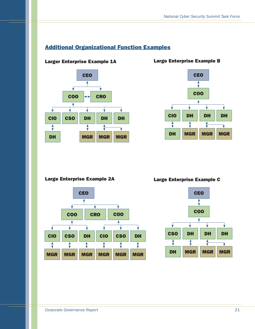## Additional Organizational Function Examples



Large Enterprise Example B



Large Enterprise Example 2A



Large Enterprise Example C

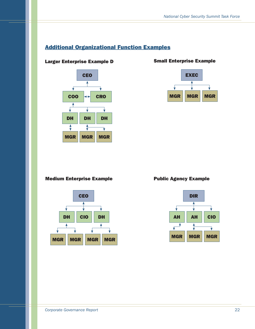## Additional Organizational Function Examples

## Larger Enterprise Example D



## Small Enterprise Example



## Medium Enterprise Example



## Public Agency Example

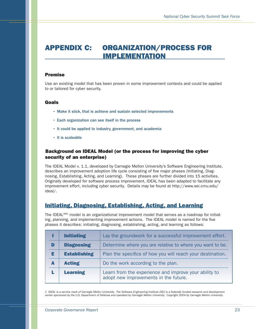# APPENDIX C: ORGANIZATION/PROCESS FOR IMPLEMENTATION

### Premise

Use an existing model that has been proven in some improvement contexts and could be applied to or tailored for cyber security.

#### Goals

- Make it stick, that is achieve and sustain selected improvements
- Each organization can see itself in the process
- It could be applied to industry, government, and academia
- It is scaleable

## Background on IDEAL Model (or the process for improving the cyber security of an enterprise)

The IDEAL Model v. 1.1, developed by Carnegie Mellon University's Software Engineering Institute, describes an improvement adoption life cycle consisting of five major phases (Initiating, Diagnosing, Establishing, Acting, and Learning). These phases are further divided into 15 activities. Originally developed for software process improvement, IDEAL has been adapted to facilitate any improvement effort, including cyber security. Details may be found at http://www.sei.cmu.edu/ ideal/.

## Initiating, Diagnosing, Establishing, Acting, and Learning

The IDEAL<sup>SM1</sup> model is an organizational improvement model that serves as a roadmap for initiating, planning, and implementing improvement actions. The IDEAL model is named for the five phases it describes: initiating, diagnosing, establishing, acting, and learning as follows:

|   | <b>Initiating</b>   | Lay the groundwork for a successful improvement effort.                                        |
|---|---------------------|------------------------------------------------------------------------------------------------|
| D | <b>Diagnosing</b>   | Determine where you are relative to where you want to be.                                      |
| Е | <b>Establishing</b> | Plan the specifics of how you will reach your destination.                                     |
| A | <b>Acting</b>       | Do the work according to the plan.                                                             |
|   | <b>Learning</b>     | Learn from the experience and improve your ability to<br>adopt new improvements in the future. |

*1 IDEAL is a service mark of Carnegie Mellon University. The Software Engineering Institute (SEI) is a federally funded research and development center sponsored by the U.S. Department of Defense and operated by Carnegie Mellon University. Copyright 2004 by Carnegie Mellon University.*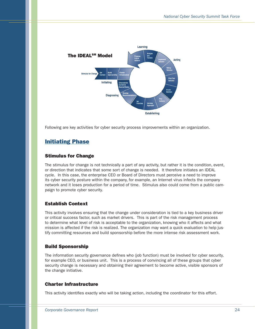

Following are key activities for cyber security process improvements within an organization.

## Initiating Phase

#### Stimulus for Change

The stimulus for change is not technically a part of any activity, but rather it is the condition, event, or direction that indicates that some sort of change is needed. It therefore initiates an IDEAL cycle. In this case, the enterprise CEO or Board of Directors must perceive a need to improve its cyber security posture within the company, for example, an Internet virus infects the company network and it loses production for a period of time. Stimulus also could come from a public campaign to promote cyber security.

### Establish Context

This activity involves ensuring that the change under consideration is tied to a key business driver or critical success factor, such as market drivers. This is part of the risk management process to determine what level of risk is acceptable to the organization, knowing who it affects and what mission is affected if the risk is realized. The organization may want a quick evaluation to help justify committing resources and build sponsorship before the more intense risk assessment work.

### Build Sponsorship

The information security governance defines who (job function) must be involved for cyber security, for example CEO, or business unit. This is a process of convincing all of these groups that cyber security change is necessary and obtaining their agreement to become active, visible sponsors of the change initiative.

### Charter Infrastructure

This activity identifies exactly who will be taking action, including the coordinator for this effort.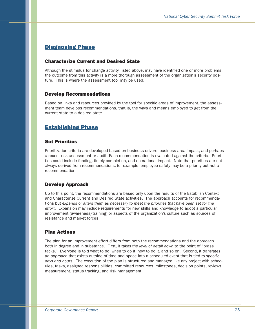## Diagnosing Phase

## Characterize Current and Desired State

Although the stimulus for change activity, listed above, may have identified one or more problems, the outcome from this activity is a more thorough assessment of the organization's security posture. This is where the assessment tool may be used.

### Develop Recommendations

Based on links and resources provided by the tool for specific areas of improvement, the assessment team develops recommendations, that is, the ways and means employed to get from the current state to a desired state.

## Establishing Phase

## Set Priorities

Prioritization criteria are developed based on business drivers, business area impact, and perhaps a recent risk assessment or audit. Each recommendation is evaluated against the criteria. Priorities could include funding, timely completion, and operational impact. Note that priorities are not always derived from recommendations, for example, employee safety may be a priority but not a recommendation.

### Develop Approach

Up to this point, the recommendations are based only upon the results of the Establish Context and Characterize Current and Desired State activities. The approach accounts for recommendations but *expands or alters them as necessary to meet the priorities that have been set for the effort*. Expansion may include requirements for new skills and knowledge to adopt a particular improvement (awareness/training) or aspects of the organization's culture such as sources of resistance and market forces.

## Plan Actions

The plan for an improvement effort differs from both the recommendations and the approach both in degree and in substance. First, it *takes the level of detail down* to the point of "brass tacks." Everyone is told what to do, when to do it, how to do it, and so on. Second, it *translates an approach* that exists outside of time and space into a scheduled event that is tied *to specific days and hours*. The execution of the plan is structured and managed like any project with schedules, tasks, assigned responsibilities, committed resources, milestones, decision points, reviews, measurement, status tracking, and risk management.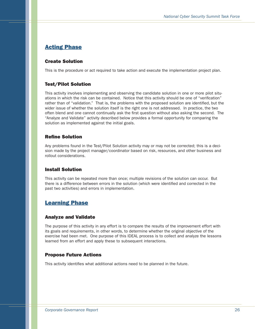## Acting Phase

## Create Solution

This is the procedure or act required to take action and execute the implementation project plan.

## Test/Pilot Solution

This activity involves implementing and observing the candidate solution in one or more pilot situations in which the risk can be contained. Notice that this activity should be one of "verification" rather than of "validation." That is, the problems with the proposed solution are identified, but the wider issue of whether the solution itself is the right one is not addressed. In practice, the two often blend and one cannot continually ask the first question without also asking the second. The "Analyze and Validate" activity described below provides a formal opportunity for comparing the solution as implemented against the initial goals.

## Refine Solution

Any problems found in the Test/Pilot Solution activity may or may not be corrected; this is a decision made by the project manager/coordinator based on risk, resources, and other business and rollout considerations.

### Install Solution

This activity can be repeated more than once; multiple revisions of the solution can occur. But there is a difference between errors in the solution (which were identified and corrected in the past two activities) and errors in implementation.

## Learning Phase

### Analyze and Validate

The purpose of this activity in any effort is to compare the results of the improvement effort with its goals and requirements, in other words, to determine whether the original objective of the exercise had been met. One purpose of this IDEAL process is to collect and analyze the lessons learned from an effort and apply these to subsequent interactions.

## Propose Future Actions

This activity identifies what additional actions need to be planned in the future.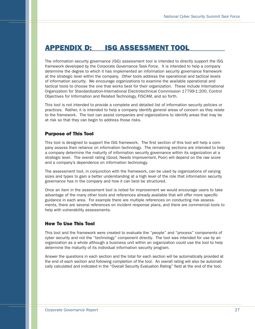# APPENDIX D: ISG ASSESSMENT TOOL

The information security governance (ISG) assessment tool is intended to directly support the ISG framework developed by the Corporate Governance Task Force. It is intended to help a company determine the degree to which it has implemented an information security governance framework at the strategic level within the company. Other tools address the operational and tactical levels of information security. We encourage organizations to examine the available operational and tactical tools to choose the one that works best for their organization. These include International Organization for Standardization-International Electrotechnical Commission 17799-1:200, Control Objectives for Information and Related Technology, FISCAM, and so forth.

This tool is not intended to provide a complete and detailed list of information security policies or practices. Rather, it is intended to help a company identify general areas of concern as they relate to the framework. The tool can assist companies and organizations to identify areas that may be at risk so that they can begin to address those risks.

### Purpose of This Tool

This tool is designed to support the ISG framework. The first section of this tool will help a company assess their reliance on information technology. The remaining sections are intended to help a company determine the maturity of information security governance within its organization at a strategic level. The overall rating (Good, Needs Improvement, Poor) will depend on the raw score and a company's dependence on information technology.

The assessment tool, in conjunction with the framework, can be used by organizations of varying sizes and types to gain a better understanding at a high level of the role that information security governance has in the company and how it can best be structured.

Once an item in the assessment tool is noted for improvement we would encourage users to take advantage of the many other tools and references already available that will offer more specific guidance in each area. For example there are multiple references on conducting risk assessments, there are several references on incident response plans, and there are commercial tools to help with vulnerability assessments.

### How To Use This Tool

This tool and the framework were created to evaluate the "people" and "process" components of cyber security and not the "technology" component directly. The tool was intended for use by an organization as a whole although a business unit within an organization could use the tool to help determine the maturity of its individual information security program.

Answer the questions in each section and the total for each section will be automatically provided at the end of each section and following completion of the tool. An overall rating will also be automatically calculated and indicated in the "Overall Security Evaluation Rating" field at the end of the tool.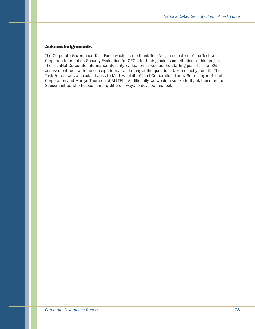#### Acknowledgements

The Corporate Governance Task Force would like to thank TechNet, the creators of the TechNet Corporate Information Security Evaluation for CEOs, for their gracious contribution to this project. The TechNet Corporate Information Security Evaluation served as the starting point for the ISG assessment tool, with the concept, format and many of the questions taken directly from it. The Task Force owes a special thanks to Matt Halbleib of Intel Corporation, Laney Settelmeyer of Intel Corporation and Marilyn Thornton of ALLTEL. Additionally, we would also like to thank those on the Subcommittee who helped in many different ways to develop this tool.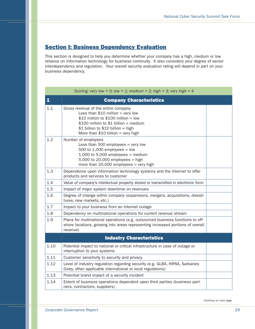## **Section I: Business Dependency Evaluation**

This section is designed to help you determine whether your company has a high, medium or low reliance on information technology for business continuity. It also considers your degree of sector interdependency and regulation. Your overall security evaluation rating will depend in part on your business dependency.

|              | Scoring: very low = 0; low = 1; medium = 2; high = 3; very high = 4                                                                                                                                                                    |  |
|--------------|----------------------------------------------------------------------------------------------------------------------------------------------------------------------------------------------------------------------------------------|--|
| $\mathbf{1}$ | <b>Company Characteristics</b>                                                                                                                                                                                                         |  |
| 1.1          | Gross revenue of the entire company<br>Less than $$10$ million = very low<br>\$10 million to \$100 million = low<br>\$100 million to \$1 billion = medium<br>\$1 billion to \$10 billion = high<br>More than $$10$ billion = very high |  |
| 1.2          | Number of employees<br>Less than 500 employees $=$ very low<br>500 to $1,000$ employees = low<br>1,000 to 5,000 employees = medium<br>5,000 to $20,000$ employees = high<br>more than $20,000$ employees = very high                   |  |
| 1.3          | Dependence upon information technology systems and the Internet to offer<br>products and services to customer                                                                                                                          |  |
| 1.4          | Value of company's intellectual property stored or transmitted in electronic form                                                                                                                                                      |  |
| 1.5          | Impact of major system downtime on revenues                                                                                                                                                                                            |  |
| 1.6          | Degree of change within company (expansions, mergers, acquisitions, divesti-<br>tures, new markets, etc.)                                                                                                                              |  |
| 1.7          | Impact to your business from an Internet outage                                                                                                                                                                                        |  |
| 1.8          | Dependency on multinational operations for current revenue stream                                                                                                                                                                      |  |
| 1.9          | Plans for multinational operations (e.g. outsourced business functions to off-<br>shore locations, growing into areas representing increased portions of overall<br>revenue)                                                           |  |
|              | <b>Industry Characteristics</b>                                                                                                                                                                                                        |  |
| 1.10         | Potential impact to national or critical infrastructure in case of outage or<br>interruption to your systems                                                                                                                           |  |
| 1.11         | Customer sensitivity to security and privacy                                                                                                                                                                                           |  |
| 1.12         | Level of industry regulation regarding security (e.g. GLBA, HIPAA, Sarbanes<br>Oxley, other applicable international or local regulations)                                                                                             |  |
| 1.13         | Potential brand impact of a security incident                                                                                                                                                                                          |  |
| 1.14         | Extent of business operations dependent upon third parties (business part-<br>ners, contractors, suppliers)                                                                                                                            |  |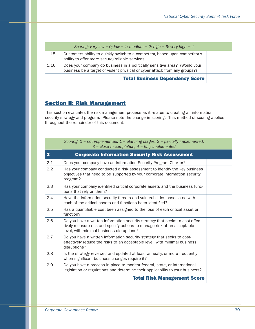|      | Scoring: very low = 0; low = 1; medium = 2; high = 3; very high = 4                                                                                      |  |
|------|----------------------------------------------------------------------------------------------------------------------------------------------------------|--|
| 1.15 | Customers ability to quickly switch to a competitor, based upon competitor's<br>ability to offer more secure/reliable services                           |  |
| 1.16 | Does your company do business in a politically sensitive area? (Would your<br>business be a target of violent physical or cyber attack from any groups?) |  |
|      | <b>Total Business Dependency Score</b>                                                                                                                   |  |

## **Section II: Risk Management**

This section evaluates the risk management process as it relates to creating an information security strategy and program. Please note the change in scoring. This method of scoring applies throughout the remainder of this document.

|                | Scoring: $0 = not implemented$ ; $1 = planning stages$ ; $2 = partially implemented$ ;<br>$3 =$ close to completion; $4 =$ fully implemented                                                          |  |
|----------------|-------------------------------------------------------------------------------------------------------------------------------------------------------------------------------------------------------|--|
| $\overline{2}$ | <b>Corporate Information Security Risk Assessment</b>                                                                                                                                                 |  |
| 2.1            | Does your company have an Information Security Program Charter?                                                                                                                                       |  |
| 2.2            | Has your company conducted a risk assessment to identify the key business<br>objectives that need to be supported by your corporate information security<br>program?                                  |  |
| 2.3            | Has your company identified critical corporate assets and the business func-<br>tions that rely on them?                                                                                              |  |
| 2.4            | Have the information security threats and vulnerabilities associated with<br>each of the critical assets and functions been identified?                                                               |  |
| 2.5            | Has a quantifiable cost been assigned to the loss of each critical asset or<br>function?                                                                                                              |  |
| 2.6            | Do you have a written information security strategy that seeks to cost-effec-<br>tively measure risk and specify actions to manage risk at an acceptable<br>level, with minimal business disruptions? |  |
| 2.7            | Do you have a written information security strategy that seeks to cost-<br>effectively reduce the risks to an acceptable level, with minimal business<br>disruptions?                                 |  |
| 2.8            | Is the strategy reviewed and updated at least annually, or more frequently<br>when significant business changes require it?                                                                           |  |
| 2.9            | Do you have a process in place to monitor federal, state, or international<br>legislation or regulations and determine their applicability to your business?                                          |  |
|                | <b>Total Risk Management Score</b>                                                                                                                                                                    |  |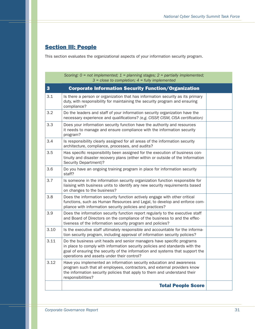## Section III: People

This section evaluates the organizational aspects of your information security program.

|                | Scoring: $0 = not$ implemented; $1 =$ planning stages; $2 =$ partially implemented;<br>$3 =$ close to completion; $4 =$ fully implemented                                                                                                                                            |  |
|----------------|--------------------------------------------------------------------------------------------------------------------------------------------------------------------------------------------------------------------------------------------------------------------------------------|--|
| 3 <sup>1</sup> | <b>Corporate Information Security Function/Organization</b>                                                                                                                                                                                                                          |  |
| 3.1            | Is there a person or organization that has information security as its primary<br>duty, with responsibility for maintaining the security program and ensuring<br>compliance?                                                                                                         |  |
| 3.2            | Do the leaders and staff of your information security organization have the<br>necessary experience and qualifications? (e.g. CISSP, CISM, CISA certification)                                                                                                                       |  |
| 3.3            | Does your information security function have the authority and resources<br>it needs to manage and ensure compliance with the information security<br>program?                                                                                                                       |  |
| 3.4            | Is responsibility clearly assigned for all areas of the information security<br>architecture, compliance, processes, and audits?                                                                                                                                                     |  |
| 3.5            | Has specific responsibility been assigned for the execution of business con-<br>tinuity and disaster recovery plans (either within or outside of the Information<br>Security Department)?                                                                                            |  |
| 3.6            | Do you have an ongoing training program in place for information security<br>staff?                                                                                                                                                                                                  |  |
| 3.7            | Is someone in the information security organization function responsible for<br>liaising with business units to identify any new security requirements based<br>on changes to the business?                                                                                          |  |
| 3.8            | Does the information security function actively engage with other critical<br>functions, such as Human Resources and Legal, to develop and enforce com-<br>pliance with information security policies and practices?                                                                 |  |
| 3.9            | Does the information security function report regularly to the executive staff<br>and Board of Directors on the compliance of the business to and the effec-<br>tiveness of the information security program and policies?                                                           |  |
| 3.10           | Is the executive staff ultimately responsible and accountable for the informa-<br>tion security program, including approval of information security policies?                                                                                                                        |  |
| 3.11           | Do the business unit heads and senior managers have specific programs<br>in place to comply with information security policies and standards with the<br>goal of ensuring the security of the information and systems that support the<br>operations and assets under their control? |  |
| 3.12           | Have you implemented an information security education and awareness<br>program such that all employees, contractors, and external providers know<br>the information security policies that apply to them and understand their<br>responsibilities?                                  |  |
|                | <b>Total People Score</b>                                                                                                                                                                                                                                                            |  |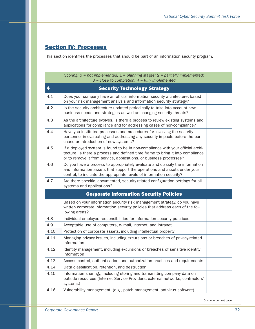## Section IV: Processes

This section identifies the processes that should be part of an information security program.

|      | Scoring: $0 = not$ implemented; $1 =$ planning stages; $2 =$ partially implemented;<br>$3 =$ close to completion; $4 =$ fully implemented                                                                                               |  |
|------|-----------------------------------------------------------------------------------------------------------------------------------------------------------------------------------------------------------------------------------------|--|
| 4    | <b>Security Technology Strategy</b>                                                                                                                                                                                                     |  |
| 4.1  | Does your company have an official information security architecture, based<br>on your risk management analysis and information security strategy?                                                                                      |  |
| 4.2  | Is the security architecture updated periodically to take into account new<br>business needs and strategies as well as changing security threats?                                                                                       |  |
| 4.3  | As the architecture evolves, is there a process to review existing systems and<br>applications for compliance and for addressing cases of non-compliance?                                                                               |  |
| 4.4  | Have you instituted processes and procedures for involving the security<br>personnel in evaluating and addressing any security impacts before the pur-<br>chase or introduction of new systems?                                         |  |
| 4.5  | If a deployed system is found to be in non-compliance with your official archi-<br>tecture, is there a process and defined time frame to bring it into compliance<br>or to remove it from service, applications, or business processes? |  |
| 4.6  | Do you have a process to appropriately evaluate and classify the information<br>and information assets that support the operations and assets under your<br>control, to indicate the appropriate levels of information security?        |  |
| 4.7  | Are there specific, documented, security-related configuration settings for all<br>systems and applications?                                                                                                                            |  |
|      | <b>Corporate Information Security Policies</b>                                                                                                                                                                                          |  |
|      | Based on your information security risk management strategy, do you have<br>written corporate information security policies that address each of the fol-<br>lowing areas?                                                              |  |
| 4.8  | Individual employee responsibilities for information security practices                                                                                                                                                                 |  |
| 4.9  | Acceptable use of computers, e- mail, Internet, and intranet                                                                                                                                                                            |  |
| 4.10 | Protection of corporate assets, including intellectual property                                                                                                                                                                         |  |
| 4.11 | Managing privacy issues, including excursions or breaches of privacy-related<br>information                                                                                                                                             |  |
| 4.12 | Identity management, including excursions or breaches of sensitive identity<br>information                                                                                                                                              |  |
| 4.13 | Access control, authentication, and authorization practices and requirements                                                                                                                                                            |  |
| 4.14 | Data classification, retention, and destruction                                                                                                                                                                                         |  |
| 4.15 | Information sharing,; including storing and transmitting company data on<br>outside resources (Internet Service Providers, external networks, contractors'<br>systems)                                                                  |  |
| 4.16 | Vulnerability management (e.g., patch management, antivirus software)                                                                                                                                                                   |  |

*Continue on next page.*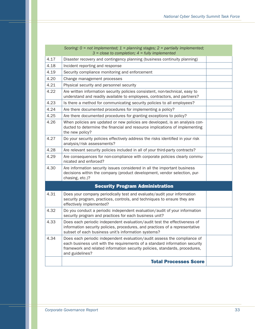|      | Scoring: $0 = not implemented$ ; $1 = planning stages$ ; $2 = partially implemented$ ;<br>$3 =$ close to completion; $4 =$ fully implemented                                                                                                              |  |  |
|------|-----------------------------------------------------------------------------------------------------------------------------------------------------------------------------------------------------------------------------------------------------------|--|--|
| 4.17 | Disaster recovery and contingency planning (business continuity planning)                                                                                                                                                                                 |  |  |
| 4.18 | Incident reporting and response                                                                                                                                                                                                                           |  |  |
| 4.19 | Security compliance monitoring and enforcement                                                                                                                                                                                                            |  |  |
| 4.20 | Change management processes                                                                                                                                                                                                                               |  |  |
| 4.21 | Physical security and personnel security                                                                                                                                                                                                                  |  |  |
| 4.22 | Are written information security policies consistent, non-technical, easy to<br>understand and readily available to employees, contractors, and partners?                                                                                                 |  |  |
| 4.23 | Is there a method for communicating security policies to all employees?                                                                                                                                                                                   |  |  |
| 4.24 | Are there documented procedures for implementing a policy?                                                                                                                                                                                                |  |  |
| 4.25 | Are there documented procedures for granting exceptions to policy?                                                                                                                                                                                        |  |  |
| 4.26 | When policies are updated or new policies are developed, is an analysis con-<br>ducted to determine the financial and resource implications of implementing<br>the new policy?                                                                            |  |  |
| 4.27 | Do your security policies effectively address the risks identified in your risk<br>analysis/risk assessments?                                                                                                                                             |  |  |
| 4.28 | Are relevant security policies included in all of your third-party contracts?                                                                                                                                                                             |  |  |
| 4.29 | Are consequences for non-compliance with corporate policies clearly commu-<br>nicated and enforced?                                                                                                                                                       |  |  |
| 4.30 | Are information security issues considered in all the important business<br>decisions within the company (product development, vendor selection, pur-<br>chasing, etc.)?                                                                                  |  |  |
|      | <b>Security Program Administration</b>                                                                                                                                                                                                                    |  |  |
| 4.31 | Does your company periodically test and evaluate/audit your information<br>security program, practices, controls, and techniques to ensure they are<br>effectively implemented?                                                                           |  |  |
| 4.32 | Do you conduct a periodic independent evaluation/audit of your information<br>security program and practices for each business unit?                                                                                                                      |  |  |
| 4.33 | Does each periodic independent evaluation/audit test the effectiveness of<br>information security policies, procedures, and practices of a representative<br>subset of each business unit's information systems?                                          |  |  |
| 4.34 | Does each periodic independent evaluation/audit assess the compliance of<br>each business unit with the requirements of a standard information security<br>framework and related information security policies, standards, procedures,<br>and guidelines? |  |  |
|      | <b>Total Processes Score</b>                                                                                                                                                                                                                              |  |  |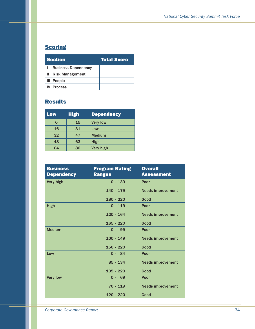## **Scoring**

| <b>Section</b>              | <b>Total Score</b> |
|-----------------------------|--------------------|
| <b>Business Dependency</b>  |                    |
| Ш<br><b>Risk Management</b> |                    |
| III People                  |                    |
| <b>IV Process</b>           |                    |

## **Results**

| <b>Low</b> | <b>High</b> | <b>Dependency</b> |
|------------|-------------|-------------------|
| O          | 15          | <b>Very low</b>   |
| 16         | 31          | Low               |
| 32         | 47          | <b>Medium</b>     |
| 48         | 63          | <b>High</b>       |
| 64         | 80          | Very high         |

| <b>Business</b><br><b>Dependency</b> | <b>Program Rating</b><br><b>Ranges</b> | <b>Overall</b><br><b>Assessment</b> |
|--------------------------------------|----------------------------------------|-------------------------------------|
| Very high                            | $0 - 139$                              | Poor                                |
|                                      | 140 - 179                              | <b>Needs improvement</b>            |
|                                      | 180 - 220                              | Good                                |
| <b>High</b>                          | $0 - 119$                              | Poor                                |
|                                      | $120 - 164$                            | <b>Needs improvement</b>            |
|                                      | 165 - 220                              | Good                                |
| <b>Medium</b>                        | $0 - 99$                               | Poor                                |
|                                      | $100 - 149$                            | <b>Needs improvement</b>            |
|                                      | 150 - 220                              | Good                                |
| Low                                  | $0 - 84$                               | Poor                                |
|                                      | $85 - 134$                             | <b>Needs improvement</b>            |
|                                      | $135 - 220$                            | Good                                |
| <b>Very low</b>                      | $0 - 69$                               | Poor                                |
|                                      | $70 - 119$                             | <b>Needs improvement</b>            |
|                                      | $120 - 220$                            | Good                                |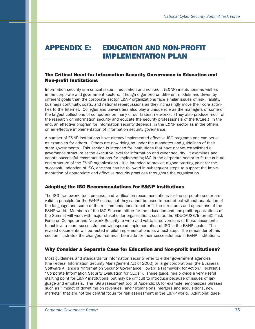# APPENDIX E: EDUCATION AND NON-PROFIT IMPLEMENTATION PLAN

### The Critical Need for Information Security Governance in Education and Non-profit Institutions

Information security is a critical issue in education and non-profit (E&NP) institutions as well as in the corporate and government sectors. Though organized on different models and driven by different goals than the corporate sector, E&NP organizations face similar issues of risk, liability, business continuity, costs, and national repercussions as they increasingly move their core activities to the Internet. Colleges and universities also play a unique role as the managers of some of the largest collections of computers on many of our fastest networks. (They also produce much of the research on information security and educate the security professionals of the future.) In the end, an effective program for information security depends, in the E&NP sector as in the others, on an effective implementation of information security governance.

A number of E&NP institutions have already implemented effective ISG programs and can serve as examples for others. Others are now doing so under the mandates and guidelines of their state governments. This section is intended for institutions that have not yet established a governance structure at the executive level for information and cyber security. It examines and adapts successful recommendations for implementing ISG in the corporate sector to fit the culture and structure of the E&NP organizations. It is intended to provide a good starting point for the successful adoption of ISG, one that can be followed in subsequent steps to support the implementation of appropriate and effective security practices throughout the organization.

#### Adapting the ISG Recommendations for E&NP Institutions

The ISG framework, tool, process, and verification recommendations for the corporate sector are valid in principle for the E&NP sector, but they cannot be used to best effect without adaptation of the language and some of the recommendations to better fit the structures and operations of the E&NP world. Members of the ISG Subcommittee for the education and non-profit organizations of the Summit will work with major stakeholder organizations such as the EDUCAUSE/Internet2 Task Force on Computer and Network Security to write and vet tailored versions of these documents to achieve a more successful and widespread implementation of ISG in the E&NP sector. The revised documents will be tested in pilot implementations as a next step. The remainder of this section illustrates the changes that must be made for their successful use in E&NP institutions.

#### Why Consider a Separate Case for Education and Non-profit Institutions?

Most guidelines and standards for information security refer to either government agencies (the Federal Information Security Management Act of 2002) or large corporations (the Business Software Alliance's "Information Security Governance: Toward a Framework for Action," TechNet's "Corporate Information Security Evaluation for CEOs"). These guidelines provide a very useful starting point for E&NP institutions, but may be difficult to introduce because of issues of language and emphasis. The ISG assessment tool of Appendix D, for example, emphasizes phrases such as "impact of downtime on revenues" and "expansions, mergers and acquisitions, new markets" that are not the central focus for risk assessment in the E&NP world. Additional ques-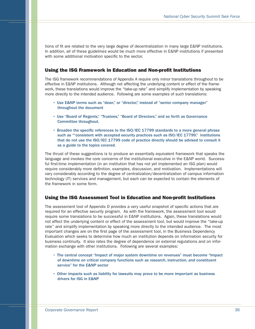tions of fit are related to the very large degree of decentralization in many large E&NP institutions. In addition, all of these guidelines would be much more effective in E&NP institutions if presented with some additional motivation specific to the sector.

#### Using the ISG Framework in Education and Non-profit Institutions

The ISG framework recommendations of Appendix A require only minor translations throughout to be effective in E&NP institutions. Although not affecting the underlying content or effect of the framework, these translations would improve the "take-up rate" and simplify implementation by speaking more directly to the intended audience. Following are some examples of such translations:

- Use E&NP terms such as "dean," or "director," instead of "senior company manager" throughout the document
- Use "Board of Regents," "Trustees," "Board of Directors," and so forth as Governance Committee throughout.
- Broaden the specific references to the ISO/IEC 17799 standards to a more general phrase such as ""consistent with accepted security practices such as ISO/IEC 17799." Institutions that do not use the ISO/IEC 17799 code of practice directly should be advised to consult it as a guide to the topics covered.

The thrust of these suggestions is to produce an essentially equivalent framework that speaks the language and invokes the core concerns of the institutional executive in the E&NP world. Successful first-time implementation (in an institution that has not yet implemented an ISG plan) would require considerably more definition, examples, discussion, and motivation. Implementations will vary considerably according to the degree of centralization/decentralization of campus information technology (IT) services and management, but each can be expected to contain the elements of the framework in some form.

#### Using the ISG Assessment Tool in Education and Non-profit Institutions

The assessment tool of Appendix D provides a very useful snapshot of specific actions that are required for an effective security program. As with the framework, the assessment tool would require some translations to be successful in E&NP institutions. Again, these translations would not affect the underlying content or effect of the assessment tool, but would improve the "take-up rate" and simplify implementation by speaking more directly to the intended audience. The most important changes are on the first page of the assessment tool, in the Business Dependency Evaluation which seeks to determine how much an institution depends on information security for business continuity. It also rates the degree of dependence on external regulations and on information exchange with other institutions. Following are several examples:

- The central concept "Impact of major system downtime on revenues" must become "Impact of downtime on critical company functions such as research, instruction, and constituent service" for the E&NP sector
- Other impacts such as liability for lawsuits may prove to be more important as business drivers for ISG in E&NP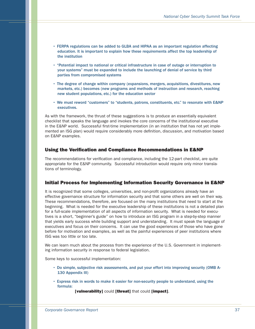- FERPA regulations can be added to GLBA and HIPAA as an important regulation affecting education. It is important to explain how these requirements affect the top leadership of the institution
- "Potential impact to national or critical infrastructure in case of outage or interruption to your systems" must be expanded to include the launching of denial of service by third parties from compromised systems
- The degree of change within company (expansions, mergers, acquisitions, divestitures, new markets, etc.) becomes (new programs and methods of instruction and research, reaching new student populations, etc.) for the education sector
- We must reword "customers" to "students, patrons, constituents, etc." to resonate with E&NP executives.

As with the framework, the thrust of these suggestions is to produce an essentially equivalent checklist that speaks the language and invokes the core concerns of the institutional executive in the E&NP world. Successful first-time implementation (in an institution that has not yet implemented an ISG plan) would require considerably more definition, discussion, and motivation based on E&NP examples.

#### Using the Verification and Compliance Recommendations in E&NP

The recommendations for verification and compliance, including the 12-part checklist, are quite appropriate for the E&NP community. Successful introduction would require only minor translations of terminology.

#### Initial Process for Implementing Information Security Governance in E&NP

It is recognized that some colleges, universities, and non-profit organizations already have an effective governance structure for information security and that some others are well on their way. These recommendations, therefore, are focused on the many institutions that need to start at the beginning. What is needed for the executive leadership of these institutions is not a detailed plan for a full-scale implementation of all aspects of information security. What is needed for executives is a short, "beginner's guide" on how to introduce an ISG program in a step-by-step manner that yields early success while building support and understanding. It must speak the language of executives and focus on their concerns. It can use the good experiences of those who have gone before for motivation and examples, as well as the painful experiences of peer institutions where ISG was too little or too late.

We can learn much about the process from the experience of the U.S. Government in implementing information security in response to federal legislation.

Some keys to successful implementation:

- Do simple, subjective risk assessments, and put your effort into improving security (OMB A-130 Appendix III)
- Express risk in words to make it easier for non-security people to understand, using the formula:

[vulnerability] could [threat] that could [impact].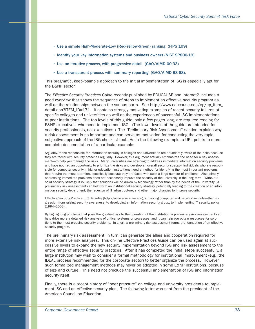- Use a simple High-Moderate-Low (Red-Yellow-Green) ranking (FIPS 199)
- Identify your key information systems and business owners (NIST SP800-19)
- Use an iterative process, with progressive detail (GAO/AIMD 00-33)
- Use a transparent process with summary reporting (GAO/AIMD 98-68).

This pragmatic, keep-it-simple approach to the initial implementation of ISG is especially apt for the E&NP sector.

The *Effective Security Practices Guide* recently published by EDUCAUSE and Internet2 includes a good overview that shows the sequence of steps to implement an effective security program as well as the relationships between the various parts. See http://www.educause.edu/ep/ep\_item detail.asp?ITEM\_ID=171. It contains strongly motivating examples of recent security failures at specific colleges and universities as well as the experiences of successful ISG implementations at peer institutions. The top levels of this guide, only a few pages long, are required reading for E&NP executives who need to implement ISG. (The lower levels of the guide are intended for security professionals, not executives.) The "Preliminary Risk Assessment" section explains why a risk assessment is so important and can serve as motivation for conducting the very rapid, subjective approach of the ISG checklist tool. As in the following example, a URL points to more complete documentation of a particular example:

Arguably, those responsible for information security in colleges and universities are abundantly aware of the risks because they are faced with security breaches regularly. However, this argument actually emphasizes the need for a risk assessment—to help you manage the risks. Many universities are straining to address immediate information security problems and have not had an opportunity to prioritize the risks and develop an overall security strategy. Individuals who are responsible for computer security in higher education instituitions need a method for identifying the most important problems that require the most attention, specifically because they are faced with such a large number of problems. Also, simply addressing immediate problems does not necessarily improve the security of the university in the long term. Without a solid security strategy, it is likely that solutions will be driven by technology rather than by the needs of the university. A preliminary risk assessment can help form an institutional security strategy, potentially leading to the creation of an information security department, the redesign of IT infrastructure, and other major changes to improve security.

Effective Security Practice: UC Berkeley (http://www.educause.edu), improving computer and network security—the progression from raising security awareness, to developing an information security group, to implementing IT security policy (1994–2003).

By highlighting problems that pose the greatest risk to the operation of the institution, a preliminary risk assessment can help drive more a detailed risk analysis of critical systems or processes, and it can help you obtain resources for solutions to the most pressing security problems. In short, a preliminary risk assessment forms the foundation of an effective security program.

The preliminary risk assessment, in turn, can generate the allies and cooperation required for more extensive risk analyses. This on-line Effective Practices Guide can be used again at successive levels to expand the new security implementation beyond ISG and risk assessment to the entire range of effective security practices. After it has completed the initial steps successfully, a large institution may wish to consider a formal methodology for institutional improvement (e.g., the IDEAL process recommended for the corporate sector) to better organize the process. However, such formalized management methods may never be adopted in some E&NP institutions, because of size and culture. This need not preclude the successful implementation of ISG and information security itself.

Finally, there is a recent history of "peer pressure" on college and university presidents to implement ISG and an effective security plan. The following letter was sent from the president of the American Council on Education.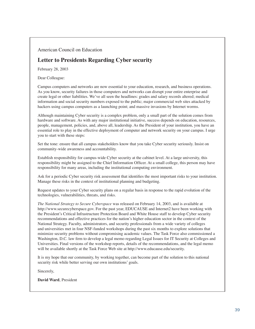American Council on Education

## **Letter to Presidents Regarding Cyber security**

February 28, 2003

Dear Colleague:

Campus computers and networks are now essential to your education, research, and business operations. As you know, security failures in those computers and networks can disrupt your entire enterprise and create legal or other liabilities. We've all seen the headlines: grades and salary records altered; medical information and social security numbers exposed to the public; major commercial web sites attacked by hackers using campus computers as a launching point; and massive invasions by Internet worms.

Although maintaining Cyber security is a complex problem, only a small part of the solution comes from hardware and software. As with any major institutional initiative, success depends on education, resources, people, management, policies, and, above all, leadership. As the President of your institution, you have an essential role to play in the effective deployment of computer and network security on your campus. I urge you to start with these steps:

Set the tone: ensure that all campus stakeholders know that you take Cyber security seriously. Insist on community-wide awareness and accountability.

Establish responsibility for campus-wide Cyber security at the cabinet level. At a large university, this responsibility might be assigned to the Chief Information Officer. At a small college, this person may have responsibility for many areas, including the institutional computing environment.

Ask for a periodic Cyber security risk assessment that identifies the most important risks to your institution. Manage these risks in the context of institutional planning and budgeting.

Request updates to your Cyber security plans on a regular basis in response to the rapid evolution of the technologies, vulnerabilities, threats, and risks.

*The National Strategy to Secure Cyberspace* was released on February 14, 2003, and is available at http://www.securecyberspace.gov. For the past year, EDUCAUSE and Internet2 have been working with the President's Critical Infrastructure Protection Board and White House staff to develop Cyber security recommendations and effective practices for the nation's higher education sector in the context of the National Strategy. Faculty, administrators, and security professionals from a wide variety of colleges and universities met in four NSF-funded workshops during the past six months to explore solutions that minimize security problems without compromising academic values. The Task Force also commissioned a Washington, D.C. law firm to develop a legal memo regarding Legal Issues for IT Security at Colleges and Universities. Final versions of the workshop reports, details of the recommendations, and the legal memo will be available shortly at the Task Force Web site at http://www.educause.edu/security.

It is my hope that our community, by working together, can become part of the solution to this national security risk while better serving our own institutions' goals.

Sincerely,

**David Ward**, President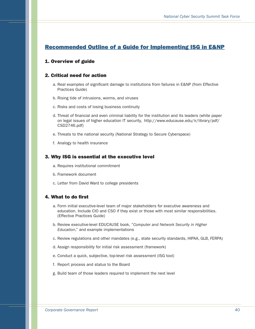## Recommended Outline of a Guide for Implementing ISG in E&NP

### 1. Overview of guide

### 2. Critical need for action

- a. Real examples of significant damage to institutions from failures in E&NP (from Effective Practices Guide)
- b. Rising tide of intrusions, worms, and viruses
- c. Risks and costs of losing business continuity
- d. Threat of financial and even criminal liability for the institution and its leaders (white paper on legal issues of higher education IT security, http://www.educause.edu/ir/library/pdf/ CSD2746.pdf)
- e. Threats to the national security (National Strategy to Secure Cyberspace)
- f. Analogy to health insurance

#### 3. Why ISG is essential at the executive level

- a. Requires institutional commitment
- b. Framework document
- c. Letter from David Ward to college presidents

#### 4. What to do first

- a. Form initial executive-level team of major stakeholders for executive awareness and education. Include CIO and CSO if they exist or those with most similar responsibilities. (Effective Practices Guide)
- b. Review executive-level EDUCAUSE book, "*Computer and Network Security in Higher Education*," and example implementations
- c. Review regulations and other mandates (e.g., state security standards, HIPAA, GLB, FERPA)
- d. Assign responsibility for initial risk assessment (framework)
- e. Conduct a quick, subjective, top-level risk assessment (ISG tool)
- f. Report process and status to the Board
- g. Build team of those leaders required to implement the next level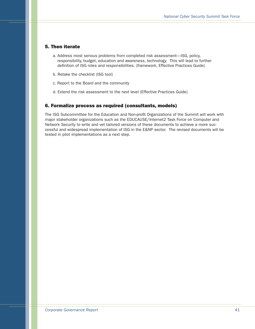### 5. Then iterate

- a. Address most serious problems from completed risk assessment—ISG, policy, responsibility, budget, education and awareness, technology. This will lead to further definition of ISG roles and responsibilities. (framework, Effective Practices Guide)
- b. Retake the checklist (ISG tool)
- c. Report to the Board and the community
- d. Extend the risk assessment to the next level (Effective Practices Guide)

#### 6. Formalize process as required (consultants, models)

The ISG Subcommittee for the Education and Non-profit Organizations of the Summit will work with major stakeholder organizations such as the EDUCAUSE/Internet2 Task Force on Computer and Network Security to write and vet tailored versions of these documents to achieve a more successful and widespread implementation of ISG in the E&NP sector. The revised documents will be tested in pilot implementations as a next step.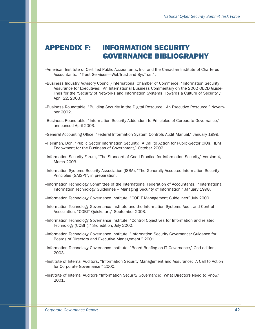# APPENDIX F: INFORMATION SECURITY GOVERNANCE BIBLIOGRAPHY

- --American Institute of Certified Public Accountants, Inc. and the Canadian Institute of Chartered Accountants. "Trust Services—WebTrust and SysTrust".
- --Business Industry Advisory Council/International Chamber of Commerce, "Information Security Assurance for Executives: An International Business Commentary on the 2002 OECD Guidelines for the 'Security of Networks and Information Systems: Towards a Culture of Security'," April 22, 2003.
- --Business Roundtable, "Building Security in the Digital Resource: An Executive Resource," November 2002.
- --Business Roundtable, "Information Security Addendum to Principles of Corporate Governance," announced April 2003.
- --General Accounting Office, "Federal Information System Controls Audit Manual," January 1999.
- --Heinman, Don, "Public Sector Information Security: A Call to Action for Public-Sector CIOs. IBM Endowment for the Business of Government," October 2002.
- --Information Security Forum, "The Standard of Good Practice for Information Security," Version 4, March 2003.
- --Information Systems Security Association (ISSA), "The Generally Accepted Information Security Principles (GAISP)", in preparation.
- --Information Technology Committee of the International Federation of Accountants, "International Information Technology Guidelines – Managing Security of Information," January 1998.
- --Information Technology Governance Institute, "COBIT Management Guidelines" July 2000.
- --Information Technology Governance Institute and the Information Systems Audit and Control Association, "COBIT Quickstart," September 2003.
- --Information Technology Governance Institute, "Control Objectives for Information and related Technology (COBIT)," 3rd edition, July 2000.
- --Information Technology Governance Institute, "Information Security Governance: Guidance for Boards of Directors and Executive Management," 2001.
- --Information Technology Governance Institute, "Board Briefing on IT Governance," 2nd edition, 2003.
- --Institute of Internal Auditors, "Information Security Management and Assurance: A Call to Action for Corporate Governance," 2000.
- --Institute of Internal Auditors "Information Security Governance: What Directors Need to Know," 2001.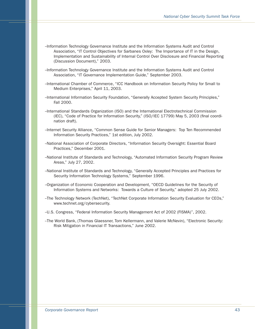- --Information Technology Governance Institute and the Information Systems Audit and Control Association, "IT Control Objectives for Sarbanes Oxley: The Importance of IT in the Design, Implementation and Sustainability of Internal Control Over Disclosure and Financial Reporting (Discussion Document)," 2003.
- --Information Technology Governance Institute and the Information Systems Audit and Control Association, "IT Governance Implementation Guide," September 2003.
- --International Chamber of Commerce, "ICC Handbook on Information Security Policy for Small to Medium Enterprises," April 11, 2003.
- -International Information Security Foundation, "Generally Accepted System Security Principles," Fall 2000.
- --International Standards Organization (ISO) and the International Electrotechnical Commission (IEC), "Code of Practice for Information Security," (ISO/IEC 17799) May 5, 2003 (final coordination draft).
- --Internet Security Alliance, "Common Sense Guide for Senior Managers: Top Ten Recommended Information Security Practices," 1st edition, July 2002.
- --National Association of Corporate Directors, "Information Security Oversight: Essential Board Practices," December 2001.
- --National Institute of Standards and Technology, "Automated Information Security Program Review Areas," July 27, 2002.
- --National Institute of Standards and Technology, "Generally Accepted Principles and Practices for Security Information Technology Systems," September 1996.
- --Organization of Economic Cooperation and Development, "OECD Guidelines for the Security of Information Systems and Networks: Towards a Culture of Security," adopted 25 July 2002.
- --The Technology Network (TechNet), "TechNet Corporate Information Security Evaluation for CEOs," www.technet.org/cybersecurity.
- --U.S. Congress, "Federal Information Security Management Act of 2002 (FISMA)", 2002.
- --The World Bank, (Thomas Glaessner, Tom Kellermann, and Valerie McNevin), "Electronic Security: Risk Mitigation in Financial IT Transactions," June 2002.